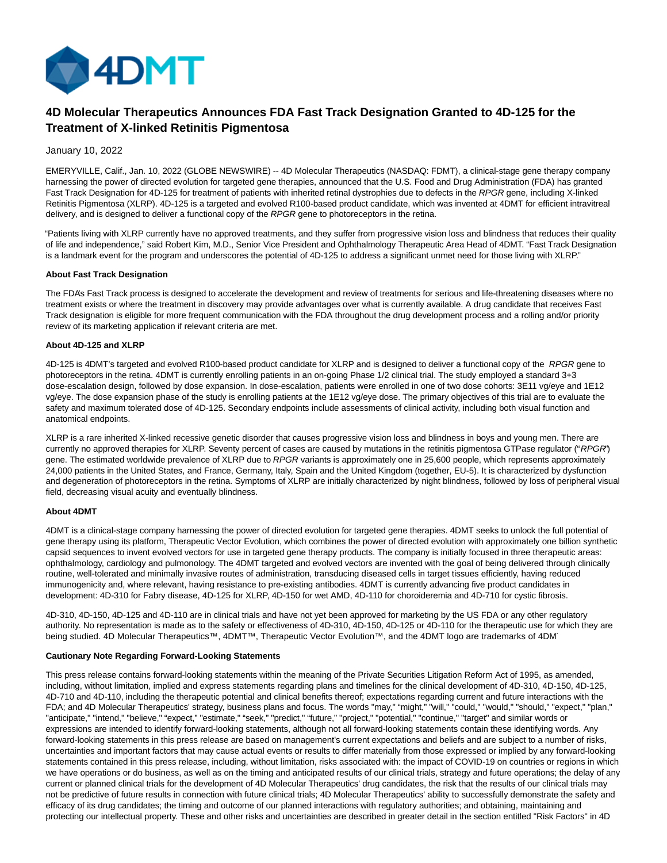

# **4D Molecular Therapeutics Announces FDA Fast Track Designation Granted to 4D-125 for the Treatment of X-linked Retinitis Pigmentosa**

### January 10, 2022

EMERYVILLE, Calif., Jan. 10, 2022 (GLOBE NEWSWIRE) -- 4D Molecular Therapeutics (NASDAQ: FDMT), a clinical-stage gene therapy company harnessing the power of directed evolution for targeted gene therapies, announced that the U.S. Food and Drug Administration (FDA) has granted Fast Track Designation for 4D-125 for treatment of patients with inherited retinal dystrophies due to defects in the RPGR gene, including X-linked Retinitis Pigmentosa (XLRP). 4D-125 is a targeted and evolved R100-based product candidate, which was invented at 4DMT for efficient intravitreal delivery, and is designed to deliver a functional copy of the RPGR gene to photoreceptors in the retina.

"Patients living with XLRP currently have no approved treatments, and they suffer from progressive vision loss and blindness that reduces their quality of life and independence," said Robert Kim, M.D., Senior Vice President and Ophthalmology Therapeutic Area Head of 4DMT. "Fast Track Designation is a landmark event for the program and underscores the potential of 4D-125 to address a significant unmet need for those living with XLRP."

#### **About Fast Track Designation**

The FDA's Fast Track process is designed to accelerate the development and review of treatments for serious and life-threatening diseases where no treatment exists or where the treatment in discovery may provide advantages over what is currently available. A drug candidate that receives Fast Track designation is eligible for more frequent communication with the FDA throughout the drug development process and a rolling and/or priority review of its marketing application if relevant criteria are met.

#### **About 4D-125 and XLRP**

4D-125 is 4DMT's targeted and evolved R100-based product candidate for XLRP and is designed to deliver a functional copy of the RPGR gene to photoreceptors in the retina. 4DMT is currently enrolling patients in an on-going Phase 1/2 clinical trial. The study employed a standard 3+3 dose-escalation design, followed by dose expansion. In dose-escalation, patients were enrolled in one of two dose cohorts: 3E11 vg/eye and 1E12 vg/eye. The dose expansion phase of the study is enrolling patients at the 1E12 vg/eye dose. The primary objectives of this trial are to evaluate the safety and maximum tolerated dose of 4D-125. Secondary endpoints include assessments of clinical activity, including both visual function and anatomical endpoints.

XLRP is a rare inherited X-linked recessive genetic disorder that causes progressive vision loss and blindness in boys and young men. There are currently no approved therapies for XLRP. Seventy percent of cases are caused by mutations in the retinitis pigmentosa GTPase regulator ("RPGR") gene. The estimated worldwide prevalence of XLRP due to RPGR variants is approximately one in 25,600 people, which represents approximately 24,000 patients in the United States, and France, Germany, Italy, Spain and the United Kingdom (together, EU-5). It is characterized by dysfunction and degeneration of photoreceptors in the retina. Symptoms of XLRP are initially characterized by night blindness, followed by loss of peripheral visual field, decreasing visual acuity and eventually blindness.

# **About 4DMT**

4DMT is a clinical-stage company harnessing the power of directed evolution for targeted gene therapies. 4DMT seeks to unlock the full potential of gene therapy using its platform, Therapeutic Vector Evolution, which combines the power of directed evolution with approximately one billion synthetic capsid sequences to invent evolved vectors for use in targeted gene therapy products. The company is initially focused in three therapeutic areas: ophthalmology, cardiology and pulmonology. The 4DMT targeted and evolved vectors are invented with the goal of being delivered through clinically routine, well-tolerated and minimally invasive routes of administration, transducing diseased cells in target tissues efficiently, having reduced immunogenicity and, where relevant, having resistance to pre-existing antibodies. 4DMT is currently advancing five product candidates in development: 4D-310 for Fabry disease, 4D-125 for XLRP, 4D-150 for wet AMD, 4D-110 for choroideremia and 4D-710 for cystic fibrosis.

4D-310, 4D-150, 4D-125 and 4D-110 are in clinical trials and have not yet been approved for marketing by the US FDA or any other regulatory authority. No representation is made as to the safety or effectiveness of 4D-310, 4D-150, 4D-125 or 4D-110 for the therapeutic use for which they are being studied. 4D Molecular Therapeutics™, 4DMT™, Therapeutic Vector Evolution™, and the 4DMT logo are trademarks of 4DMT

#### **Cautionary Note Regarding Forward-Looking Statements**

This press release contains forward-looking statements within the meaning of the Private Securities Litigation Reform Act of 1995, as amended, including, without limitation, implied and express statements regarding plans and timelines for the clinical development of 4D-310, 4D-150, 4D-125, 4D-710 and 4D-110, including the therapeutic potential and clinical benefits thereof; expectations regarding current and future interactions with the FDA; and 4D Molecular Therapeutics' strategy, business plans and focus. The words "may," "might," "will," "could," "would," "should," "expect," "plan," "anticipate," "intend," "believe," "expect," "estimate," "seek," "predict," "future," "project," "potential," "continue," "target" and similar words or expressions are intended to identify forward-looking statements, although not all forward-looking statements contain these identifying words. Any forward-looking statements in this press release are based on management's current expectations and beliefs and are subject to a number of risks, uncertainties and important factors that may cause actual events or results to differ materially from those expressed or implied by any forward-looking statements contained in this press release, including, without limitation, risks associated with: the impact of COVID-19 on countries or regions in which we have operations or do business, as well as on the timing and anticipated results of our clinical trials, strategy and future operations; the delay of any current or planned clinical trials for the development of 4D Molecular Therapeutics' drug candidates, the risk that the results of our clinical trials may not be predictive of future results in connection with future clinical trials; 4D Molecular Therapeutics' ability to successfully demonstrate the safety and efficacy of its drug candidates; the timing and outcome of our planned interactions with regulatory authorities; and obtaining, maintaining and protecting our intellectual property. These and other risks and uncertainties are described in greater detail in the section entitled "Risk Factors" in 4D